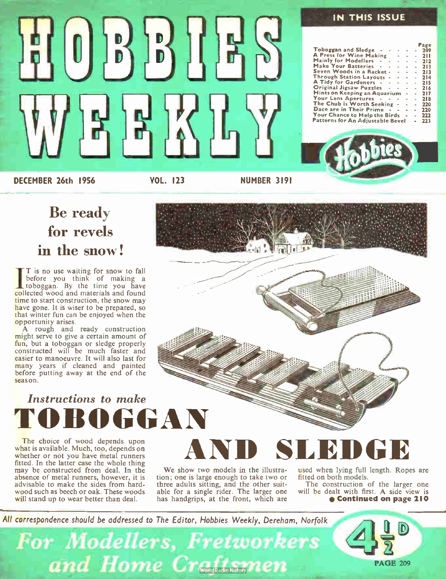

### Be ready for revels in the snow!

I is no use waiting for snow to fall<br>before you think of making a<br>toboggan. By the time you have T is no use waiting for snow to fall collected wood and materials and found time to start construction, the snow may have gone. It is wiser to be prepared, so that winter fun can be enjoyed when the opportunity arises.

A rough and ready construction might serve to give a certain amount of f<mark>un,</mark> but a toboggan or sledge properly<br>constructed will be much faster and easier to manoeuvre. It will also last for many years if cleaned and painted before putting away at the end of the season.

## Instructions to make TOBOGGAN

The choice of wood depends upon what is available. Much, too, depends on whether or not you have metal runners fitted. In the latter case the whole thing may be constructed from deal. In the absence of metal runners, however, it is advisable to make the sides from hardwood such as beech or oak. These woods will stand up to wear better than deal.



We show two models in the illustration; one is large enough to take two or three adults sitting, and the other suitable for a single rider. The larger one has handgrips, at the front, which are

used when lying full length. Ropes are fitted on both models.

The construction of the larger one will be dealt with first. A side view is e Continued on page 210

All correspondence should be addressed to The Editor, Hobbies Weekly, Dereham, Norfolk

For Modellers, Fretworkers and Home Craftsmen PAGE 209

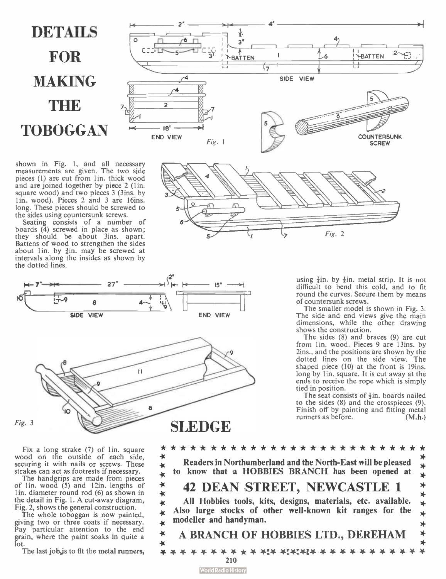# **DETAILS** FOR **MAKING THE TOBOGGAN**

shown in Fig. 1, and all necessary measurements are given. The two side pieces (1) are cut from 1in. thick wood and are joined together by piece 2 (lin. square wood) and two pieces 3 (3ins. by 1 in. wood). Pieces 2 and 3 are 16ins. long. These pieces should be screwed to the sides using countersunk screws.

Seating consists of a number of boards  $(4)$  screwed in place as shown; they should be about 3ins. apart. Battens of wood to strengthen the sides about 1in. by  $\frac{3}{4}$ in. may be screwed at intervals along the insides as shown by the dotted lines.







using  $\frac{3}{2}$ in. by  $\frac{1}{2}$ in. metal strip. It is not difficult to bend this cold, and to fit round the curves. Secure them by means of countersunk screws.

The smaller model is shown in Fig. 3. The side and end views give the main dimensions, while the other drawing shows the construction.

The sides  $(8)$  and braces  $(9)$  are cut from Iin. wood. Pieces 9 are 13ins. by 2ins., and the positions are shown by the dotted lines on the side view. The shaped piece (10) at the front is 19ins. long by 1in. square. It is cut away at the ends to receive the rope which is simply tied in position.

The seat consists of  $\frac{1}{2}$ in, boards nailed to the sides  $(8)$  and the crosspieces  $(9)$ . Finish off by painting and fitting metal runners as before. (M.h.)

Fix a long strake (7) of lin, square wood on the outside of each side, securing it with nails or screws. These strakes can act as footrests if necessary.

The handgrips are made from pieces of 1 in. wood  $(5)$  and 12 in. lengths of I in. diameter round rod (6) as shown in the detail in Fig. I. A cut-away diagram, Fig. 2, shows the general construction.

The whole toboggan is now painted, giving two or three coats if necessary. Pay particular attention to the end grain, where the paint soaks in quite a lot.

The last job, js to fit the metal runners,

\* \* \* \* \* \* \* \* \* \* \* \* \* \* \* \* \* \* \* \* \* \* \* \* \* \* \*  $\star$ Readers in Northumberland and the North-East will be pleased  $\frac{1}{2}$  $\ddot{\textbf{x}}$ to know that a HOBBIES BRANCH has been opened at  $\frac{1}{4}$  $\star$  $\star$ 42 DEAN STREET, NEWCASTLE 1  $\star$  $\star$ ∗ • All Hobbies tools, kits, designs, materials, etc. available.  $\star$ \* Also large stocks of other well-known kit ranges for the  $\star$ modeller and handyman.  $\star$ × -4( A BRANCH OF HOBBIES LTD., DEREHAM ∗ \* 4- \* \* \* \* \* \* \* 44 4-t\*:4-1\* 4- 4- \* \* \* • \* \* \* \* \* 210 **World Radio History**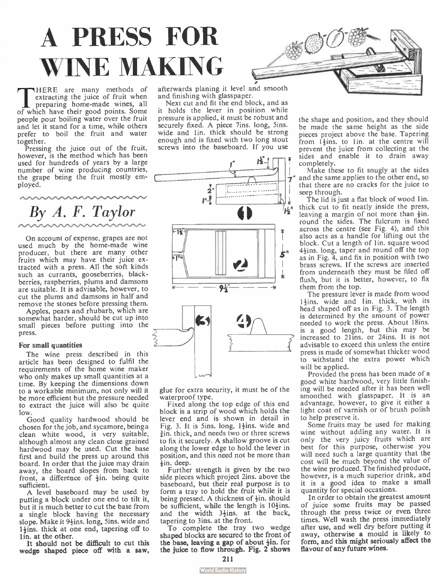# A PRESS FOR WINE MAKING

THERE are many methods of<br>pertracting the juice of fruit when<br>of which have their good points. Some HERE are many methods of extracting the juice of fruit when preparing home-made wines, all people pour boiling water over the fruit and let it stand for a time, while others prefer to boil the fruit and water together.

Pressing the juice out of the fruit, however, is the method which has been used for hundreds of years by a large number of wine producing countries, the grape being the fruit mostly employed.

By A. F. Taylor

On account of expense, grapes are not used much by the home-made wine producer, but there are many other fruits which may have their juice extracted with a press. All the soft kinds such as currants, gooseberries, blackberries, raspberries, plums and damsons are suitable. It is advisable, however, to cut the plums and damsons in half and remove the stones before pressing them.

Apples, pears and rhubarb, which are somewhat harder, should be cut up into small pieces before putting into the press.

#### For small quantities

The wine press described in this article has been designed to fulfil the requirements of the home wine maker who only makes up small quantities at a time. By keeping the dimensions down to a workable minimum, not only will it be more efficient but the pressure needed to extract the juice will also be quite low.

Good quality hardwood should be chosen for the job, and sycamore, being a clean white wood, is very suitable, although almost any clean close grained hardwood may be used. Cut the base first and build the press up around this board. In order that the juice may drain away, the board slopes from back to front, a difference of  $\frac{1}{2}$ in. being quite sufficient.

A level baseboard may be used by putting a block under one end to tilt it, but it is much better to cut the base from a single block having the necessary slope. Make it  $9\frac{1}{2}$ ins. long, Sins. wide and  $1\frac{1}{2}$ ins. thick at one end, tapering off to 1 in. at the other.

It should not be difficult to cut this wedge shaped piece off with a saw,

• afterwards planing it level and smooth and finishing with glasspaper.

Next cut and fit the end block, and as it holds the lever in position while pressure is applied, it must be robust and securely fixed. A piece 7ins. long, 5ins. wide and 1in. thick should be strong enough and is fixed with two long stout screws into the baseboard. If you use



glue for extra security, it must be of the waterproof type.

Fixed along the top edge of this end block is a strip of wood which holds the lever end and is shown in detail in Fig. 3. It is 5ins. long,  $1\frac{1}{2}$ ins. wide and  $\frac{3}{2}$ in, thick, and needs two or three screws to fix it securely. A shallow groove is cut along the lower edge to hold the lever in position, and this need not be more than  $\frac{1}{2}$ in. deep.

Further strength is given by the two side pieces which project 2ins. above the baseboard, but their real purpose is to form a tray to hold the fruit while it is being pressed. A thickness of  $\frac{1}{2}$ in. should be sufficient, while the length is  $10\frac{1}{2}$ ins. and the width  $3\frac{1}{2}$ ins. at the back, tapering to 3ins. at the front.

To complete the tray two wedge shaped blocks are secured to the front of the base, leaving a gap of about  $\frac{1}{2}$ in. for the juice to flow through. Fig. 2 shows

the shape and position, and they should be made the same height as the side pieces project above the base. Tapering from 14ins, to 1in, at the centre will prevent the juice from collecting at the sides and enable it to drain away completely.

Make these to fit snugly at the sides and the same applies to the other end, so that there are no cracks for the juice to seep through.

The lid is just a flat block of wood lin. thick cut to fit neatly inside the press, leaving a margin of not more than  $\frac{1}{2}$ in. round the sides. The fulcrum is fixed across the centre (see Fig. 4), and this also acts as a handle for lifting out the block. Cut a length of 1 in. square wood 41ins. long, taper and round off the top as in Fig. 4, and fix in position with two brass screws. If the screws are inserted from underneath they must be filed off flush, but it is better, however, to fix them from the top.

The pressure lever is made from wood  $1+$ ins. wide and  $1$  in. thick, with its head shaped off as in Fig. 3. The length is determined by the amount of power needed to work the press. About 18ins. is a good length, but this may be increased to 21ins. or 24ins. It is not advisable to exceed this unless the entire press is made of somewhat thicker wood to withstand the extra power which will be applied.

Provided the press has been made of a good white hardwood, very little finishing will be needed after it has been well smoothed with glasspaper. It is an advantage, however, to give it either a light coat of varnish or of brush polish to help preserve it.

Some fruits may be used for making wine without adding any water. It is only the very juicy fruits which are best for this purpose, otherwise you will need such a large quantity that the cost will be much beyond the value of the wine produced. The finished produce, however, is a much superior drink, and it is a good idea to make a small quantity for special occasions.

In order to obtain the greatest amount of juice some fruits may be passed through the press twice or even three times. Well wash the press immediately after use, and well dry before putting it away, otherwise a mould is likely to form, and this might seriously affect the favour of any future wines.

<sup>211</sup>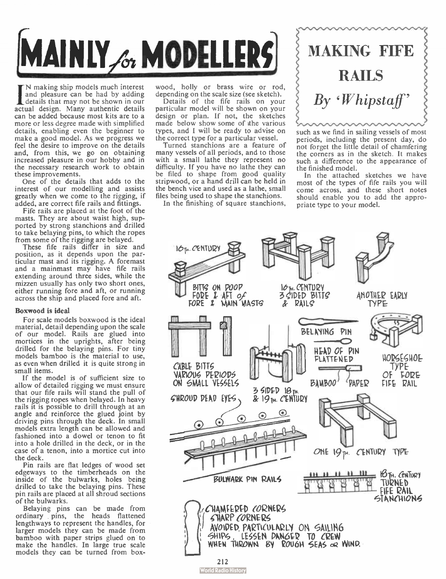

I N making ship models much interest<br>and pleasure can be had by adding<br>that may not be shown in our<br>that details N making ship models much interest and pleasure can be had by adding actual design. Many authentic details can be added because most kits are to a more or less degree made with simplified details, enabling even the beginner to make a good model. As we progress we feel the desire to improve on the details and, from this, we go on obtaining increased pleasure in our hobby and in the necessary research work to obtain these improvements.

One of the details that adds to the interest of our modelling and assists greatly when we come to the rigging, if added, are correct fife rails and fittings.

Fife rails are placed at the foot of the masts. They are about waist high, supported by strong stanchions and drilled to take belaying pins, to which the ropes from some of the rigging are belayed.

These fife rails differ in size and position, as it depends upon the particular mast and its rigging. A foremast and a mainmast may have fife rails extending around three sides, while the mizzen usually has only two short ones, either running fore and aft, or running across the ship and placed fore and aft.

#### Boxwood is ideal

For scale models boxwood is the ideal material, detail depending upon the scale of our model. Rails are glued into mortices in the uprights, after being drilled for the belaying pins. For tiny models bamboo is the material to use, as even when drilled it is quite strong in small items.

If the model is of sufficient size to allow of detailed rigging we must ensure that our fife rails will stand the pull of the rigging ropes when belayed. In heavy rails it is possible to drill through at an angle and reinforce the glued joint by driving pins through the deck. In small models extra length can be allowed and fashioned into a dowel or tenon to fit into a hole drilled in the deck, or in the case of a tenon, into a mortice cut into the deck.

Pin rails are flat ledges of wood set edgeways to the timberheads on the inside of the bulwarks, holes being drilled to take the belaying pins. These pin rails are placed at all shroud sections of the bulwarks.

Belaying pins can be made from ordinary pins, the heads flattened lengthways to represent the handles, for larger models they can be made from bamboo with paper strips glued on to make the handles. In large true scale models they can be turned from boxwood, holly or brass wire or rod, depending on the scale size (see sketch).

Details of the fife rails on your particular model will be shown on your design or plan. If not, the sketches made below show some of the various types, and I will be ready to advise on the correct type for a particular vessel.

Turned stanchions are a feature of many vessels of all periods, and to those with a small lathe they represent no difficulty. If you have no lathe they can be filed to shape from good quality stripwood, or a hand drill can be held in the bench vice and used as a lathe, small files being used to shape the stanchions.

In the finishing of square stanchions,

# MAKING FIFE **RAILS**  $B_Y$  'Whipstaff'

such as we find in sailing vessels of most periods, including the present day, do not forget the little detail of chamfering the corners as in the sketch. It makes such a difference to the appearance of the finished model.

In the attached sketches we have most of the types of fife rails you will come across, and these short notes should enable you to add the appropriate type to your model.

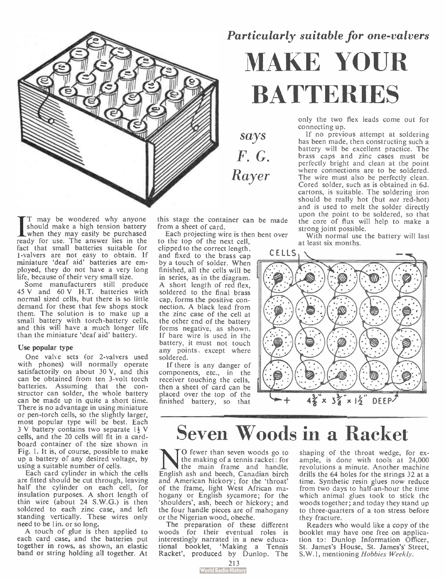

 $\prod_{\text{when they may easily be bounded with a given point}}$ <br>should make a high tension battery<br> $\frac{1}{2}$  when they may easily be purchased T may be wondered why anyone should make a high tension battery ready for use. The answer lies in the fact that small batteries suitable for 1-valvers are not easy to obtain. If miniature 'deaf aid' batteries are employed, they do not have a very long life, because of their very small size.

Some manufacturers still produce 45 V and 60 V H.T. batteries with normal sized cells, but there is so little demand for these that few shops stock them. The solution is to make up a small battery with torch-battery cells, and this will have a much longer life than the miniature 'deaf aid' battery.

#### Use popular type

One valve sets (or 2-valvers used with phones) will normally operate satisfactorily on about 30 V, and this can be obtained from ten 3-volt torch batteries. Assuming that the con-structor can solder, the whole battery can be made up in quite a short time. There is no advantage in using miniature or pen-torch cells, so the slightly larger, most popular type will be best. Each 3 V battery contains two separate 14 V cells, and the 20 cells will fit in a cardboard container of the size shown in Fig. 1. It is, of course, possible to make up a battery of any desired voltage, by using a suitable number of cells.

Each card cylinder in which the cells are fitted should be cut through, leaving half the cylinder on each cell, for insulation purposes. A short length of thin wire (about 24 S.W.G.) is then soldered to each zinc case, and left standing vertically. These wires only need to be lin, or so long.

A touch of glue is then applied to each card case, and the batteries put together in rows, as shown, an elastic band or string holding all together. At

this stage the container can be made from a sheet of card.

says F. G.

Rayer

Each projecting wire is then bent over to the top of the next cell,

clipped to the correct length. and fixed to the brass cap by a touch of solder. When finished, all the cells will be in series, as in the diagram. A short length of red flex, soldered to the final brass cap, forms the positive connection. A black lead from the zinc case of the cell at the other end of the battery forms negative, as shown. If bare wire is used in the battery, it must not touch any points, except where soldered.

If there is any danger of components, etc., in the receiver touching the cells, then a sheet of card can be placed over the top of the finished battery, so that

### Particularly suitable for one-valvers

# MAKE YOUR **BATTERIES**

only the two flex leads come out for connecting up.

If no previous attempt at soldering has been made, then constructing such a battery will be excellent practice. The brass caps and zinc cases must be perfectly bright and clean at the point where connections are to be soldered. The wire must also be perfectly clean. Cored solder, such as is obtained in 6d. cartons, is suitable. The soldering iron should be really hot (but *not* red-hot) and is used to melt the solder directly upon the point to be soldered, so that the core of flux will help to make a strong joint possible.

With normal use the battery will last at least six months.





### Seven Woods in a Racket

N O fewer than seven woods go to<br>the making of a tennis racket: for<br>the main frame and handle,  $\mathsf{T}^{\mathsf{O}}$  fewer than seven woods go to the making of a tennis racket: for English ash and beech, Canadian birch and American hickory; for the 'throat' of the frame, light West African mahogany or English sycamore; for the 'shoulders', ash, beech or hickory; and the four handle pieces are of mahogany or the Nigerian wood, obeche.

The preparation of these different woods for their eventual roles is interestingly narrated in a new educational booklet, 'Making a Tennis Racket', produced by Dunlop. The

shaping of the throat wedge, for example, is done with tools at 24,000 revolutions a minute. Another machine drills the 64 holes for the strings 32 at a time. Synthetic resin glues now reduce from two days to half-an- hour the time which animal glues took to stick the woods together; and today they stand up to three-quarters of a ton stress before they fracture.

Readers who would like a copy of the booklet may have one free on application to: Dunlop Information Officer, St. James's House, St. James's Street, S.W.1, mentioning Hobbies Weekly.

213<br>Vorld Radio History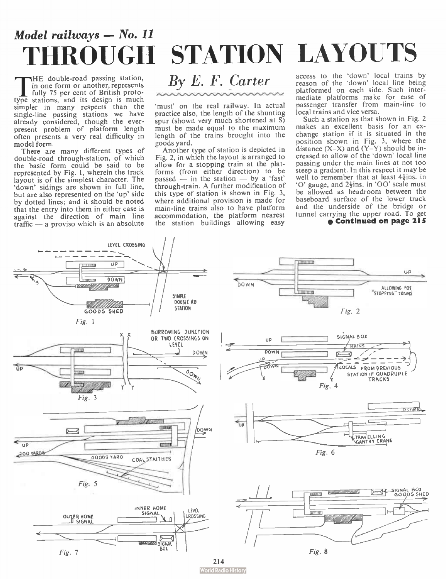## Model railways — No. 11 THROUGH STATION LAYOUTS

THE GOUDIE-FOAG passing station,<br>in one form or another, represents<br>fully 75 per cent of British proto-<br>type stations, and its design is much HE double- road passing station, in one form or another, represents fully 75 per cent of British protosimpler in many respects than the single-line passing stations we have already considered, though the everpresent problem of platform length often presents a very real difficulty in model form.

There are many different types of double- road through- station, of which the basic form could be said to be represented by Fig. 1, wherein the track layout is of the simplest character. The 'down' sidings are shown in full line, but are also represented on the 'up' side by dotted lines; and it should be noted that the entry into them in either case is against the direction of main line traffic — a proviso which is an absolute



'must' on the real railway. In actual practice also, the length of the shunting spur (shown very much shortened at S) must be made equal to the maximum length of the trains brought into the goods yard.

Another type of station is depicted in Fig. 2, in which the layout is arranged to allow for a stopping train at the platforms (from either direction) to be passed  $-$  in the station  $-$  by a 'fast' through-train. A further modification of this type of station is shown in Fig. 3, where additional provision is made for main-line trains also to have platform accommodation, the platform nearest the station buildings allowing easy

### access to the 'down' local trains by reason of the 'down' local line being

platformed on each side. Such intermediate platforms make for ease of passenger transfer from main- line to local trains and vice versa.

Such a station as that shown in Fig. 2 makes an excellent basis for an exchange station if it is situated in the position shown in Fig. 3, where the distance  $(X-X)$  and  $(Y-Y)$  should be increased to allow of the 'down' local line passing under the main lines at not too steep a gradient. In this respect it may be well to remember that at least  $4\frac{1}{4}$ ins. in '0' gauge, and 2-} ins. in 00' scale must be allowed as headroom between the baseboard surface of the lower track and the underside of the bridge or tunnel carrying the upper road. To get



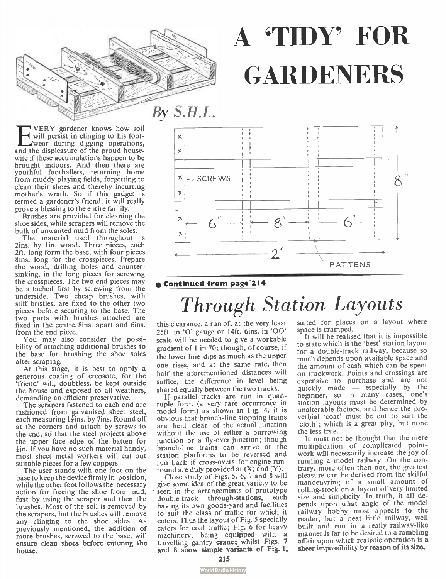

**EVERY** gardener knows how soil will persist in clinging to his foot-<br>and the displeasure of the proud house-VERY gardener knows how soil will persist in clinging to his footwife if these accumulations happen to be brought indoors. And then there are youthful footballers, returning home from muddy playing fields, forgetting to clean their shoes and thereby incurring mother's wrath. So if this gadget is termed a gardener's friend, it will really prove a blessing to the entire family.

Brushes are provided for cleaning the shoe sides, while scrapers will remove the bulk of unwanted mud from the soles.

The material used throughout is 2ins. by 1in. wood. Three pieces, each 2ft. long form the base, with four pieces 8ins. long for the crosspieces. Prepare the wood, drilling holes and countersinking, in the long pieces for screwing the crosspieces. The two end pieces may be attached first by screwing from the underside. Two cheap brushes, with stiff bristles, are fixed to the other two pieces before securing to the base. The two parts with brushes attached are fixed in the centre, 8ins. apart and 6ins. from the end piece.

You may also consider the possibility of attaching additional brushes to the base for brushing the shoe soles after scraping.

At this stage, it is best to apply a generous coating of creosote, for the `friend' will, doubtless, be kept outside the house and exposed to all weathers, demanding an efficient preservative.

The scrapers fastened to each end are fashioned from galvanised sheet steel, each measuring  $1\frac{3}{2}$ ins. by 7 ins. Round off at the corners and attach by screws to the end, so that the steel projects above the upper face edge of the batten for ¡in. If you have no such material handy, most sheet metal workers will cut out suitable pieces for a few coppers.

The user stands with one foot on the base to keep the device firmly in position, while the other foot follows the necessary action for freeing the shoe from mud, first by using the scraper and then the brushes. Most of the soil is removed by the scrapers, but the brushes will remove any clinging to the shoe sides. As previously mentioned, the addition of more brushes, screwed to the base, will ensure clean shoes before entering the house.



A 'TIDY' FOR

**GARDENERS** 

### e Continued from page 214

## Through Station Layouts

this clearance, a run of, at the very least 25ft. in 'O' gauge or 14ft. 6ins. in 'OO' scale will be needed to give a workable gradient of lin 70; though, of course, if the lower line dips as much as the upper one rises, and at the same rate, then half the aforementioned distances will suffice, the difference in level being shared equally between the two tracks.

If parallel tracks are run in quadruple form (a very rare occurrence in model form) as shown in Fig. 4, it is obvious that branch-line stopping trains are held clear of the actual junction without the use of either a burrowing junction or a fly-over junction; though branch-line trains can arrive at the station platforms to be reversed and run back if cross-overs for engine runround are duly provided at  $(X)$  and  $(Y)$ .

Close study of Figs. 5, 6, 7 and 8 will give some idea of the great variety to be seen in the arrangements of prototype double-track through-stations, each having its own goods-yard and facilities to suit the class of traffic for which it caters. Thus the layout of Fig. 5 specially caters for coal traffic; Fig. 6 for heavy machinery, being equipped with a travelling gantry crane; whilst Figs. 7 and 8 show simple variants of Fig. 1,

suited for places on a layout where space is cramped.

It will be realised that it is impossible to state which is the 'best' station layout for a double-track railway, because so much depends upon available space and the amount of cash which can be spent on trackwork. Points and crossings are expensive to purchase and are not quickly made — especially by the beginner, so in many cases, one's station layouts must be determined by unalterable factors, and hence the proverbial 'coat' must be cut to suit the 'cloth'; which is a great pity, but none the less true.

It must not be thought that the mere multiplication of complicated pointwork will necessarily increase the joy of running a model railway. On the contrary, more often than not, the greatest pleasure can be derived from the skilful manoeuvring of a small amount of rolling-stock on a layout of very limited size and simplicity. In truth, it all depends upon what angle of the model railway hobby most appeals to the reader, but a neat little railway, well built and run in a really railway-like manner is far to be desired to a rambling affair upon which realistic operation is a sheer impossibility by reason of its size.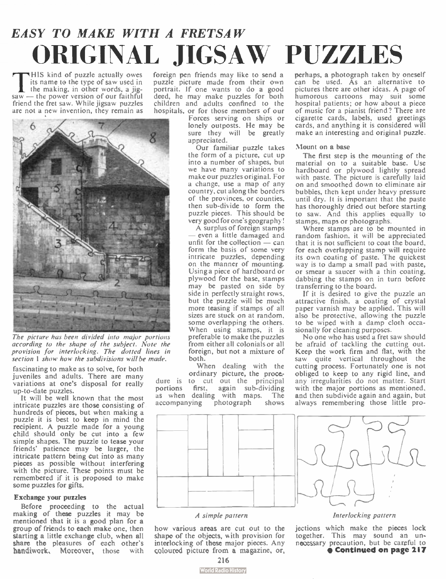## EASY TO MAKE WITH A FRETSAW ORIGINAL JIGSAW PUZZLES

This kind of puzzle actually owes<br>its name to the type of saw used in<br>the making, in other words, a jig-<br>saw — the power version of our faithful HIS kind of puzzle actually owes its name to the type of saw used in the making, in other words, a jigfriend the fret saw. While jigsaw puzzles are not a new invention, they remain as



The picture has been divided into major portions according to the shape of the subject. Note the provision for interlocking. The dotted lines in section 1 show how the subdivisions will be made.

fascinating to make as to solve, for both juveniles and adults. There are many variations at one's disposal for really up-to-date puzzles.

It will be well known that the most intricate puzzles are those consisting of hundreds of pieces, but when making a puzzle it is best to keep in mind the recipient. A puzzle made for a young child should only be cut into a few simple shapes. The puzzle to tease your friends' patience may be larger, the intricate pattern being cut into as many pieces as possible without interfering with the picture. These points must be remembered if it is proposed to make some puzzles for gifts.

#### Exchange your puzzles

Before proceeding to the actual making of these puzzles it may be mentioned that it is a good plan for a group of friends to each make one, then starting a little exchange club, when all share the pleasures of each other's handiwork, Moreover, those with

foreign pen friends may like to send a puzzle picture made from their own portrait. If one wants to do a good deed, he may make puzzles for both children and adults confined to the hospitals, or for those members of our

Forces serving on ships or lonely outposts. He may be sure they will be greatly appreciated.

Our familiar puzzle takes the form of a picture, cut up into a number of shapes, but we have many variations to make our puzzles original. For a change, use a map of any country, cut along the borders of the provinces, or counties, then sub-divide to form the puzzle pieces. This should be very good for one's geography!

A surplus of foreign stamps even a little damaged and unfit for the collection  $-\frac{1}{2}$  can form the basis of some very intricate puzzles, depending on the manner of mounting. Using a piece of hardboard or plywood for the base, stamps may be pasted on side by side in perfectly straight rows, but the puzzle will be much more teasing if stamps of all sizes are stuck on at random, some overlapping the others. When using stamps, it is preferable to make the puzzles from either all colonials or all foreign, but not a mixture of both.

When dealing with the ordinary picture, the procedure is to cut out the principal portions first, again sub-dividing as when dealing with maps. The accompanying photograph shows accompanying

perhaps, a photograph taken by oneself can be used. As an alternative to pictures there are other ideas. A page of humorous cartoons may suit some hospital patients; or how about a piece of music for a pianist friend? There are cigarette cards, labels, used greetings cards, and anything it is considered will make an interesting and original puzzle.

#### Mount on a base

The first step is the mounting of the material on to a suitable base. Use hardboard or plywood lightly spread with paste. The picture is carefully laid on and smoothed down to eliminate air bubbles, then kept under heavy pressure until dry. It is important that the paste has thoroughly dried out before starting to saw. And this applies equally to stamps, maps or photographs.

Where stamps are to be mounted in random fashion, it will be appreciated that it is not sufficient to coat the board, for each overlapping stamp will require its own coating of paste. The quickest way is to damp a small pad with paste, or smear a saucer with a thin coating, dabbing the stamps on in turn before transferring to the board.

If it is desired to give the puzzle an attractive finish, a coating of crystal paper varnish may be applied. This will also be protective, allowing the puzzle to be wiped with a damp cloth occasionally for cleaning purposes.

No one who has used a fret saw should be afraid of tackling the cutting out. Keep the work firm and flat, with the saw quite vertical throughout the cutting process. Fortunately one is not obliged to keep to any rigid line, and any irregularities do not matter. Start with the major portions as mentioned, and then subdivide again and again, but always remembering those little pro-



#### A simple pattern

how various areas are cut out to the shape of the objects, with provision for interlocking of these major pieces. Any coloured picture from a magazine, or,

Interlocking pattern

jections which make the pieces lock together. This may sound an un-necessary precaution, but be careful to • Continued on page 217

216

### **World Radio History**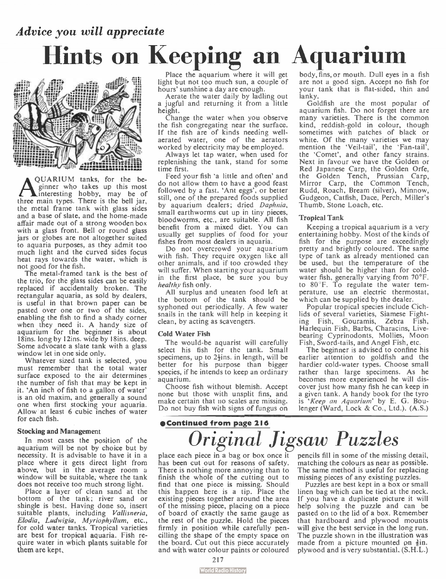## Advice you will appreciate Hints on Keeping an Aquarium



**A** ginner who tanks, for the be-<br>interesting hobby, may be of<br>three main types. There is the bell jar, QUARIUM tanks, for the beginner who takes up this most the metal frame tank with glass sides and a base of slate, and the home-made affair made out of a strong wooden box with a glass front. Bell or round glass jars or globes are not altogether suited to aquaria purposes, as they admit too much light and the curved sides focus heat rays towards the water, which is not good for the fish.

The metal-framed tank is the best of the trio, for the glass sides can be easily replaced if accidentally broken. The rectangular aquaria, as sold by dealers, is useful in that brown paper can be pasted over one or two of the sides, enabling the fish to find a shady corner when they need it. A handy size of aquarium for the beginner is about 18ins. long by 12ins. wide by 18ins. deep. Some advocate a slate tank with a glass window let in one side only.

Whatever sized tank is selected, you must remember that the total water surface exposed to the air determines. the number of fish that may be kept in . it. 'An inch of fish to a gallon of water' is an old maxim, and generally a sound one when first stocking your aquaria. Allow at least 6 cubic inches of water for each fish.

#### Stocking and Management

In most cases the position of the aquarium will be not by choice but by necessity. It is advisable to have it in a place where it gets direct light from above, but in the average room a window will be suitable, where the tank does not receive too much strong light.

Place a layer of clean sand at the bottom of the tank; river sand or shingle is best. Having done so, insert suitable plants, including Vallisneria, Elodia, Ludwigia, Myriophyllum, etc., for cold water tanks. Tropical varieties are best for tropical aquaria. Fish require water in which plants suitable for them are kept,

Place the aquarium where it will get light but not too much sun, a couple of hours' sunshine a day are enough.

Aerate the water daily by ladling out a jugful and returning it from a little height.

Change the water when you observe the fish congregating near the surface. If the fish are of kinds needing wellaerated water, one of the aerators worked by electricity may be employed.

Always let tap water, when used for replenishing the tank, stand for some time first.

Feed your fish 'a little and often' and do not allow them to have a good feast followed by a fast. 'Ant eggs', or better still, one of the prepared foods supplied by aquarium dealers; dried Daphnia, small earthworms cut up in tiny pieces, bloodworms, etc., are suitable. All fish benefit from a mixed diet. You can usually get supplies of food for your fishes from most dealers in aquaria.

Do not overcrowd your aquarium with fish. They require oxygen like all other animals, and if too crowded they will suffer. When starting your aquarium in the first place, be sure you buy healthy fish only.

All surplus and uneaten food left at the bottom of the tank should be syphoned out periodically. A few water snails in the tank will help in keeping it clean, by acting as scavengers.

#### Cold Water Fish

The would-be aquarist will carefully select his fish for the tank. Small specimens, up to  $2\frac{1}{2}$ ins. in length, will be better for his purpose than bigger species, if he intends to keep an ordinary aquarium.

Choose fish without blemish. Accept none but those with unsplit fins, and make certain that no scales are missing. Do not buy fish with signs of fungus on

### eContinued from page 216 Ortginal Jigsaw Puzzles

place each piece in a bag or box once it has been cut out for reasons of safety. There is nothing more annoying than to finish the whole of the cutting out to find that one piece is missing. Should this happen here is a tip. Place the existing pieces together around the area of the missing piece, placing on a piece of board of exactly the same gauge as the rest of the puzzle. Hold the pieces firmly in position while carefully pencilling the shape of the empty space on the board. Cut out this piece accurately and with water colour paints or coloured

body, fins, or mouth. Dull eyes in a fish are not a good sign. Accept no fish for your tank that is flat-sided, thin and lanky.

Goldfish are the most popular of aquarium fish. Do not forget there are many varieties. There is the common kind, reddish-gold in colour, though sometimes with patches of black or white. Of the many varieties we may mention the 'Veil-tail', the ' Fan-tail', the ' Comet', and other fancy strains. Next in favour we have the Golden or Red Japanese Carp, the Golden Orfe, the Golden Tench, Prussian Carp, Mirror Carp, the Common Tench, Rudd, Roach, Bream (silver), Minnow, Gudgeon, Catfish, Dace, Perch, Miller's Thumb, Stone Loach, etc.

#### Tropical Tank

Keeping a tropical aquarium is a very entertaining hobby. Most of the kinds of fish for the purpose are exceedingly pretty and brightly coloured. The same type of tank as already mentioned can be used, but the temperature of the water should be higher than for coldwater fish, generally varying from 70°F. to 80°F. To regulate the water temperature, use an electric thermostat, which can be supplied by the dealer.

Popular tropical species include Cichlids of several varieties, Siamese Fighting Fish, Gouramis, Zebra Fish, Harlequin Fish, Barbs, Characins, Livebearing Cyprinodonts, Mollies, Moon Fish, Sword-tails, and Angel Fish, etc.

The beginner is advised to confine his earlier attention to goldfish and the hardier cold-water types. Choose small rather than large specimens. As he becomes more experienced he will discover just how many fish he can keep in a given tank. A handy book for the tyro is 'Keep an Aquarium' by E. G. Boulenger (Ward, Lock & Co., Ltd.). (A.S.)

pencils fill in some of the missing detail, matching the colours as near as possible. The same method is useful for replacing missing pieces of any existing puzzles.

Puzzles are best kept in a box or small linen bag which can be tied at the neck. If you have a duplicate picture it will help solving the puzzle and can be pasted on to the lid of a box. Remember that hardboard and plywood mounts will give the best service in the long run. The puzzle shown in the illustration was made from a picture mounted on  $\frac{3}{5}$ in. plywood and is very substantial. (S.H.L.)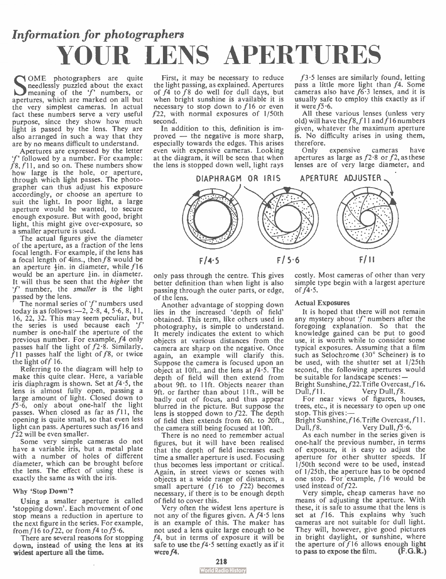## Information for photographers YOUR LENS APERTURES

SOME photographers are quite<br>
meaning of the 'f' numbers, or<br>
apertures, which are marked on all but OME photographers are quite needlessly puzzled about the exact meaning of the 'f' numbers, or the very simplest cameras. In actual fact these numbers serve a very useful purpose, since they show how much light is passed by the lens. They are also arranged in such a way that they are by no means difficult to understand.

Apertures are expressed by the letter 'f' followed by a number. For example:  $f$ 8,  $f$ 11, and so on. These numbers show how large is the hole, or aperture, through which light passes. The photographer can thus adjust his exposure accordingly, or choose an aperture to suit the light. In poor light, a large aperture would be wanted, to secure enough exposure. But with good, bright light, this might give over-exposure, so a smaller aperture is used.

The actual figures give the diameter of the aperture, as a fraction of the lens focal length. For example, if the lens has a focal length of 4ins., then  $f8$  would be an aperture  $+$ in. in diameter, while  $f16$ would be an aperture  $\frac{1}{2}$ in, in diameter. It will thus be seen that the higher the 'f' number, the smaller is the light passed by the lens.

The normal series of  $f'$  numbers used today is as follows: $-2$ ,  $2.8$ , 4, 5.6, 8, 11, 16, 22, 32. This may seem peculiar, but the series is used because each  $f'$ number is one-half the aperture of the previous number. For example, f4 only passes half the light of  $f2.8$ . Similarly.  $f11$  passes half the light of  $f8$ , or twice the light of  $f$  16.

Referring to the diagram will help to make this quite clear. Here, a variable iris diaphragm is shown. Set at  $f4.5$ , the lens is almost fully open, passing a large amount of light. Closed down to  $f5.\bar{6}$ , only about one-half the light passes. When closed as far as  $f11$ , the opening is quite small, so that even less light can pass. Apertures such as  $f16$  and  $f22$  will be even smaller.

Some very simple cameras do not have a variable iris, but a metal plate with a number of holes of different diameter, which can be brought before the lens. The effect of using these is exactly the same as with the iris.

#### Why 'Stop Down'?

Using a smaller aperture is called 'stopping down'. Each movement of one stop means a reduction in aperture to the next figure in the series. For example, from f 16 to f 22, or from f 4 to f 5  $\cdot$  6.

There are several reasons for stopping down, instead of using the lens at its widest aperture all the time.

First, it may be necessary to reduce the light passing, as explained. Apertures of f4 to f8 do well for dull days, but when bright sunshine is available it is necessary to stop down to f 16 or even f22, with normal exposures of 1/50th second.

In addition to this, definition is improved — the negative is more sharp, especially towards the edges. This arises even with expensive cameras. Looking at the diagram, it will be seen that when the lens is stopped down well, light rays

 $f3.5$  lenses are similarly found, letting pass a little more light than f4. Some cameras also have f6-3 lenses, and it is usually safe to employ this exactly as if it were  $f5.6$ .

All these various lenses (unless very old) will have the  $f8, f11$  and  $\dot{f}16$  numbers given, whatever the maximum aperture is. No difficulty arises in using them, therefore.

Only expensive cameras have apertures as large as  $f^2$  8 or  $f^2$ , as these lenses are of very large diameter, and



only pass through the centre. This gives better definition than when light is also passing through the outer parts, or edge, of the lens.

Another advantage of stopping down lies in the increased 'depth of field' obtained. This term, like others used in photography, is simple to understand. It merely indicates the extent to which objects at various distances from the camera are sharp on the negative. Once again, an example will clarify this. Suppose the camera is focused upon an object at 10ft., and the lens at  $f4.5$ . The depth of field will then extend from about 9ft. to lift. Objects nearer than 9ft. or farther than about 11ft., will be badly out of focus, and thus appear blurred in the picture. But suppose the lens is stopped down to f22. The depth of field then extends from 6ft. to 20ft., the camera still being focused at 10ft.

There is no need to remember actual figures, but it will have been realised that the depth of field increases each time a smaller aperture is used. Focusing thus becomes less important or critical. Again, in street views or scenes with objects at a wide range of distances, a small aperture  $(f16 \text{ to } f22)$  becomes necessary, if there is to be enough depth of field to cover this.

Very often the widest lens aperture is not any of the figures given. A  $f4.5$  lens is an example of this. The maker has not used a lens quite large enough to be f4, but in terms of exposure it will be safe to use the  $f4.5$  setting exactly as if it were  $f4$ .

costly. Most cameras of other than very simple type begin with a largest aperture of  $f_4$  -5.

#### Actual Exposures

It is hoped that there will not remain any mystery about 'f' numbers after the foregoing explanation. So that the knowledge gained can be put to good use, it is worth while to consider some typical exposures. Assuming that a film such as Selochrome (30° Scheiner) is to be used, with the shutter set at 1/25th second, the following apertures would be suitable for landscape scenes: —

Bright Sunshine, f22.Trifle Overcast, f16.  $DuII, f11.$  Very Dull,  $f8.$ 

For near views of figures, houses, trees, etc., it is necessary to open up one stop. This gives:—

Bright Sunshine, f16.Trifle Overcast, f11. Dull,  $f8$ . Very Dull,  $f5.6$ .

As each number in the series given is one-half the previous number, in terms of exposure, it is easy to adjust the aperture for other shutter speeds. If 1/50th second were to be used, instead of 1/25th, the aperture has to be opened one stop. For example, 116 would be used instead of f22.

Very simple, cheap cameras have no means of adjusting the aperture. With these, it is safe to assume that the lens is set at f16. This explains why such cameras are not suitable for dull light. They will, however, give good pictures in bright daylight, or sunshine, where the aperture of f16 allows enough light to pass to expose the film. (F.G.R.)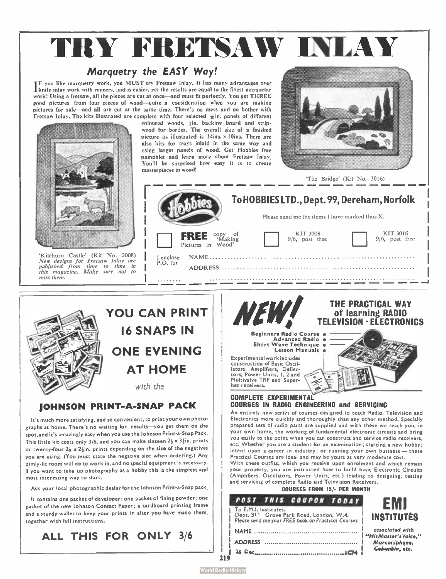# TRY FRETSAW INLAY

### Marquetry the EASY Way!

IF you like marquetry work, you MUST try Fretsaw Inlay. It has many advantages over 'knife inlay work with veneers, and is easier, yet the results are equal to the finest marquetry work! Using a fretsaw, all the pieces are cut at once—and must fit perfectly. You get THREE good pictures from four pieces of wood—quite a consideration when you are making pictures for sale—and all are cut at the same time. There's no mess and no bother with Fretsaw Inlay. The kits illustrated are complete with four selected  $\frac{1}{2}$  in. panels of different

> coloured woods, hin, backing board and stripwood for border. The overall size of a finished picture as illustrated is  $14$ ins.  $\times 10$ ins. There are also kits for trays inlaid in the same way and using larger panels of wood. Get Hobbies free pamphlet and learn more about Fretsaw Inlay, You'll be surprised how easy it is to create masterpieces in wood!



'The Bridge' (Kit No. 3016)





mis mugu

### JOHNSON PRINT-A-SNAP PACK

It's much more satisfying, and so convenient, to print your own photographs at home. There's no waiting for results—you get them on the spot, and it's amazingly easy when you use the Johnson Print-a-Snap Pack. This little kit costs only 3/6, and you can make sixteen  $2\frac{1}{2} \times 3\frac{1}{2}$ in. prints or twenty-four  $2\frac{1}{2} \times 2\frac{1}{2}$ in, prints depending on the size of the negatives you are using. ( You must state the negative size when ordering.) Any dimly- lit room will do to work in, and no special equipment is necessary. If you want to take up photography as a hobby this is the simplest and most interesting way to start.

Ask your local photographic dealer for the Johnson Print-a-Snap pack,

It contains one packet of developer; one packet of fixing powder; one packet of the new Johnson Contact Paper; a cardboard printing frame and a sturdy wallet to keep your prints in after you have made them, together with full instructions.

ALL THIS FOR ONLY 3/6





Electronics more quickly and thoroughly than any other method. Specially prepared sets of radio parts are supplied and with these we teach you, in your own home. the working of fundamental electronic circuits and bring you easily to the point when you can construct and service radio receivers, etc. Whether you are a student for an examination; starting a new hobby; intent upon a career in industry; or running your own business — these Practical Courses are ideal and may be yours at very moderate cost.

With these outfits, which you receive upon enrolment and which remain your property, you are instructed how to build basic Electronic Circuits (Amplifiers, Oscillators, Power Units, etc.) leading to designing, testing and servicing of complete Radio and Television Receivers.

| <b>COURSES FROM 15/- PER MONTH</b> |  |  |  |  |  |
|------------------------------------|--|--|--|--|--|
|------------------------------------|--|--|--|--|--|

| POST THIS COUPON TODAY                                                      | FMI                             |
|-----------------------------------------------------------------------------|---------------------------------|
| To E.M.I. Institutes.<br>Dept. 3 <sup>1</sup> Grove Park Road, London, W.4. | <b>INSTITUTES</b>               |
| Please send me your FREE book on Practical Courses                          | associated with                 |
|                                                                             | "His Master's Voice."           |
| <b>ADDRESS</b><br>.                                                         | Marconiphone,<br>Columbia, etc. |
|                                                                             |                                 |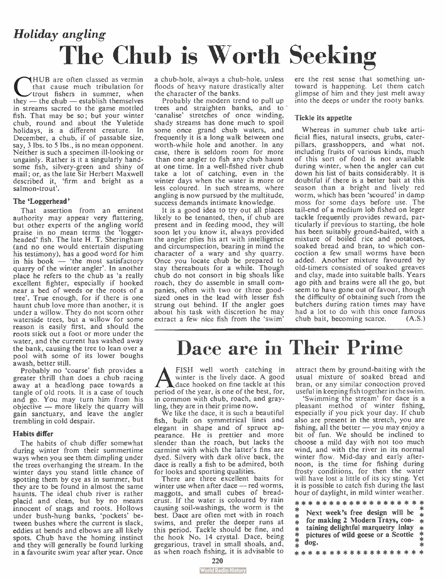## Holiday angling The Chub is Worth Seeking

HUB are often classed as vermin<br>that cause much tribulation for<br>they — the chub — establish themselves HUB are often classed as vermin that cause much tribulation for trout fishers in summer, when in streams sacred to the game mottled fish. That may be so; but your winter chub, round and about the Yuletide holidays, is a different creature. In December, a chub, if of passable size, say, 3 lbs. to 5 lbs., is no mean opponent. Neither is such a specimen ill-looking or ungainly. Rather is it a singularly handsome fish, silvery-green and shiny of mail; or, as the late Sir Herbert Maxwell described it, 'firm and bright as a salmon-trout'.

#### The `Loggerhead'

That assertion from an eminent authority may appear very flattering, but other experts of the angling world praise in no mean terms the ' logger-headed' fish. The late H. T. Sheringham (and no one would entertain disputing his testimony), has a good word for him in his book  $-$  'the most satisfactory quarry of the winter angler'. In another place he refers to the chub as 'a really excellent fighter, especially if hooked near a bed of weeds or the roots of a tree'. True enough, for if there is one haunt chub love more than another, it is under a willow. They do not scorn other waterside trees, but a willow for some reason is easily first, and should the roots stick out a foot or more under the water, and the current has washed away the bank, causing the tree to lean over a pool with some of its lower boughs awash, better still.

Probably no 'coarse' fish provides a greater thrill than does a chub racing away at a headlong pace towards a tangle of old roots. It is a case of touch and go. You may turn him from his objective — more likely the quarry will gain sanctuary, and leave the angler trembling in cold despair.

### Habits differ

The habits of chub differ somewhat during winter from their summertime ways when you see them dimpling under the trees overhanging the stream. In the winter days you stand little chance of spotting them by eye as in summer, but they are to be found in almost the same haunts. The ideal chub river is rather placid and clean, but by no means innocent of snags and roots. Hollows under bush-hung banks, 'pockets' between bushes where the current is slack, eddies at bends and elbows are all likely spots. Chub have the homing instinct and they will generally be found lurking in a favourite swim year after year. Once a chub-hole, always a chub-hole, unless floods of heavy nature drastically alter the character of the banks.

Probably the modern trend to pull up trees and straighten banks, and to - 'canalise' stretches of once winding, shady streams has done much to spoil some once grand chub waters, and frequently it is a long walk between one worth-while hole and another. In any case, there is seldom room for more than one angler to fish any chub haunt at one time. In a well-fished river chub take a lot of catching, even in the winter days when the water is more or less coloured. In such streams, where angling is now pursued by the multitude, success demands intimate knowledge.

It is a good idea to try out all places likely to be tenanted, then, if chub are present and in feeding mood, they will soon let you know it, always provided the angler plies his art with intelligence and circumspection, bearing in mind the character of a wary and shy quarry. Once you locate chub be prepared to stay thereabouts for a while. Though chub do not consort in big shoals like roach, they do assemble in small companies, often with two or three goodsized ones in the lead with lesser fish strung out behind. If the angler goes about his task with discretion he may extract a few nice fish from the 'swim'

ere the rest sense that something untoward is happening. Let them catch glimpse of him and they just melt away into the deeps or under the rooty banks.

#### Tickle its appetite

Whereas in summer chub take artificial flies, natural insects, grubs, caterpillars, grasshoppers, and what not, including fruits of various kinds, much of this sort of food is not available during winter, when the angler can cut down his list of baits considerably. It is doubtful if there is a better bait at this season than a bright and lively red worm, which has been 'scoured' in damp moss for some days before use. The tail-end of a medium lob fished on ieger tackle frequently provides reward, particularly if previous to starting, the hole has been suitably ground-baited, with a mixture of boiled rice and potatoes, soaked bread and bran, to which concoction a few small worms have been added. Another mixture favoured by old-timers consisted of soaked greaves and clay, made into suitable balls. Years ago pith and brains were all the go, but seem to have gone out of favour, though the difficulty of obtaining such from the butchers during ration times may have had a lot to do with this once famous<br>chub bait, becoming scarce.  $(A.S.)$ chub bait, becoming scarce.

### Dace are in Their Prime

A FISH well worth catching in<br>winter is the lively dace. A good<br>ace hooked of the user is on fine tackle at this FISH well worth catching in period of the year, is one of the best, for, in common with chub, roach, and grayling, they are in their prime now.

We like the dace, it is such a beautiful fish, built on symmetrical lines and elegant in shape and of spruce appearance. He is prettier and more slender than the roach, but lacks the carmine with which the latter's fins are dyed. Silvery with dark olive back, the dace is really a fish to be admired, both for looks and sporting qualities.

There are three excellent baits for winter use when after dace — red worms, maggots, and small cubes of breadcrust. If the water is coloured by rain causing soil-washings, the worm is the best. Dace are often met with in roach swims, and prefer the deeper runs at this period. Tackle should be fine, and the hook No. 14 crystal. Dace, being gregarious, travel in small shoals, and, as when roach fishing, it is advisable to attract them by ground-baiting with the usual mixture of soaked bread and bran, or any similar concoction proved useful in keeping fish together in the swim.

'Swimming the stream' for dace is a pleasant method of winter fishing, especially if you pick your day. If chub also are present in the stretch, you are fishing, all the better — you may enjoy a bit of fun. We should be inclined to choose a mild day with not too much wind, and with the river in its normal winter flow. Mid-day and early afternoon, is the time for fishing during frosty conditions, for then the water will have lost a little of its icy sting. Yet it is possible to catch fish during the last hour of daylight, in mild winter weather.

\* \* \* \* \* \* \* \* \* \* \* \* \* \* \* \* \* \* \* 水 Next week's free design will be  $\frac{1}{\ast}$ sk.  $*$  for making 2 Modern Trays, con- $*$  $*$  taining delightful marquetry inlay

\* pictures of wild geese or a Scottie<br> $*$  dog. dog.

\* \* \* \* \* \* \* \* \* \* \* \* \* \* \* \* \* \*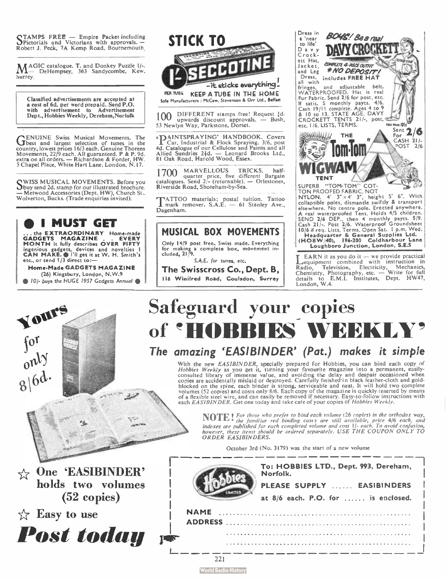STAMPS FREE — Empire Packet including Pictorials and Victorians with approvals. — Robert J. Peck, 7A Kemp Road, Bournemouth.

MAGIC catalogue. 1. and Donkey Puzzle 1/-.<br>M— DeHempsey, 363 Sandycombe, Kew. Surrey.

Classified advertisements are accepted at a cost of 6d. per word prepaid. Send P.O. with advertisement to Advertisement Dept., Hobbies Weekly, Derebam,Norfolk

GENUINE Swiss Musical Movements. The General According to the General According to the General According to the country, lowest prices 16/3 each. Genuine Thorens<br>Movements, 22/9 each. All guaranteed. P & P. 9d.<br>extra on all orders. — Richardson & Forder, HW.<br>5 Chapel Place, White Hart Lane, London, N.17.

WISS MUSICAL MOVEMENTS. Before you abuy send 2d. stamp for our illustrated brochure. — Metwood Accessories (Dept. HW), Church St.. Wolverton, Bucks. (Trade enquiries invited).

### e I MUST GET

... the EXTRAORDINARY Home-made GADGETS MAGAZINE . . EVERY MONTH it fully describes OVER FIFTY ingenious gadgets, devices and novelties I |<br>CAN MAKE. I'il get it at W. H. Smith's | etc., or send 1/3 direct to:—

Home- Made GADGETS MAGAZINE (26) Kingsbury, London, N.W.9 <sup>101</sup>- buys the HUGE 1957 Gadgets Annual

Yours

for<br>only

 $8/6d$ 

 $\&$  One 'EASIBINDER' holds two volumes (52 copies)

Post today

 $\sqrt{x}$  Easy to use



100 DIFFERENT stamps free! Request {d upwards discount approvals. — Bush,<br>53 Newlyn Way, Parkstone, Dorset.

**TAINTSPRAYING' HANDBOOK. Covers 4d. Catalogue of our Cellulose and Paints and all Allied Sundries 216, post 4d. Catalogue of our Cellulose and Paints and all Allied Sundries 216.**<br>81 Oak Road, Harold Wood, Essex. Ltd., 81

1700 MARVELLOUS TRICKS, half-<br>catalogues. Send 2/- (returnable). — Orlestones,<br>Riverside Road, Shoreham-by-Sea.

'ATTOO materials; postal tuition. Tattoo I mark remover. S.A.E. — 61 Stanley Ave., Dagenham.

### MUSICAL BOX MOVEMENTS

Only 14/9 post free. Swiss made. Everything for making a complete box, movement in-cluded, 21;9.

S.A.E. for tunes, etc.

The Swisscross Co., Dept. B, 116 Winifred Road, Coulsdon, Surrey



LEARN it as you do it — we provide practical<br>Lequipment combined with instruction in Radio, Television, Electricity, Mechanics,<br>Chemistry, Photography, etc. — Write for full<br>details to E.M.I. Institutes, Dept. HW47, London, W.4.

### Safeguard your copies of HOBBIES WEEKLY' The amazing `EASIBINDER' (Pat.) makes it simple

With the new *EASIBINDER*, specially prepared for Hobbies, you can bind each copy of<br>*Hobbies Weekly* as you get it, turning your favourite magazine into a permanent, easily-<br>consulted library of immense value, and avoidin blocked on the spine, each binder is strong, serviceable and neat. It will not two complete<br>volumes (52 copies) and costs only 8/6. Each copy of the magazine is quickly inserted by means<br>of a flexible steel wire, and can e

**NOTE!** I the those who prefer to bind each volume (26 copies) in the orthodox way,<br>indexes are published for each completed volume and cost \|- each. To avoid confusion,<br>however, these items should be ordered separately.

October 3rd (No. 3179) was the start of a new volume

|             | To: HOBBIES LTD., Dept. 993, Dereham,<br>Norfolk. |  |  |  |  |
|-------------|---------------------------------------------------|--|--|--|--|
|             | PLEASE SUPPLY  EASIBINDERS                        |  |  |  |  |
|             | at 8/6 each. P.O. for  is enclosed.               |  |  |  |  |
| <b>NAME</b> |                                                   |  |  |  |  |
|             |                                                   |  |  |  |  |
|             |                                                   |  |  |  |  |
|             |                                                   |  |  |  |  |
|             |                                                   |  |  |  |  |

**World Radio History**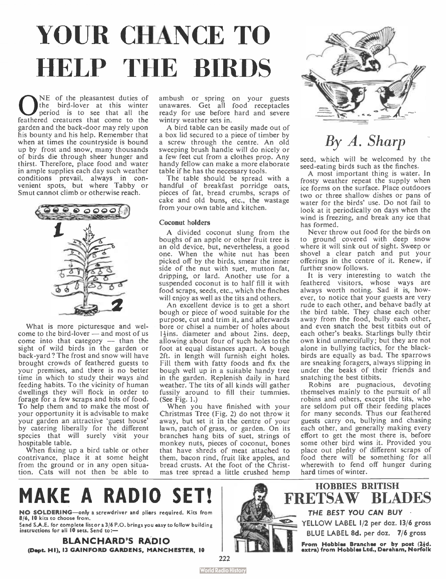# YOUR CHANCE TO HELP THE BIRDS

**O**NE of the pleasantest duties of the bird-lover at this winter period is to see that all the feathered creatures that come to the NE of the pleasantest duties of the bird-lover at this winter period is to see that all the garden and the back-door may rely upon his bounty and his help. Remember that when at times the countryside is bound up by frost and snow, many thousands of birds die through sheer hunger and thirst. Therefore, place food and water in ample supplies each day such weather conditions prevail, always in con-venient spots, but where Tabby or Smut cannot climb or otherwise reach.



What is more picturesque and welcome to the bird-lover — and most of us come into that category — than the sight of wild birds in the garden or back-yard ? The frost and snow will have brought crowds of feathered guests to your premises, and there is no better time in which to study their Ways and feeding habits. To the vicinity of human dwellings they will flock in order to forage for a few scraps and bits of food. To help them and to make the most of your opportunity it is advisable to make your garden an attractive ' guest house' by catering liberally for the different species that will surely visit your hospitable table.

When fixing up a bird table or other contrivance, place it at some height from the ground or in any open situation. Cats will not then be able to ambush or spring on your guests unawares. Get all food receptacles ready for use before hard and severe wintry weather sets in.

A bird table can be easily made out of a box lid secured to a piece of timber by a screw through the centre. An old sweeping brush handle will do nicely or a few feet cut from a clothes prop. Any handy fellow can make a more elaborate table if he has the necessary tools.

The table should be spread with a handful of breakfast porridge oats, pieces of fat, bread crumbs, scraps of cake and old buns, etc., the wastage from your own table and kitchen.

#### Coconut holders

A divided coconut slung from the boughs of an apple or other fruit tree is an old device, but, nevertheless, a good one. When the white nut has been picked off by the birds, smear the inner side of the nut with suet, mutton fat, dripping, or lard. Another use for a suspended coconut is to half fill it with food scraps, seeds, etc., which the finches will enjoy as well as the tits and others.

An excellent device is to get a short bough or piece of wood suitable for the purpose, cut and trim it, and afterwards bore or chisel a number of holes about 1-}ins. diameter and about 2ins. deep, allowing about four of such holes to the foot at equal distances apart. A bough 2ft. in length will furnish eight holes. Fill them with fatty foods and fix the bough well up in a suitable handy tree in the garden. Replenish daily in hard weather. The tits of all kinds will gather fussily around to fill their tummies. (See Fig. 1.)

When you have finished with your Christmas Tree (Fig. 2) do not throw it away, but set it in the centre of your lawn, patch of grass, or garden. On its branches hang bits of suet, strings of monkey nuts, pieces of coconut, bones that have shreds of meat attached to them, bacon rind, fruit like apples, and bread crusts. At the foot of the Christmas tree spread a little crushed hemp



### By A. Sharp

seed, which will be welcomed by the seed-eating birds such as the finches.

A most important thing is water. In frosty weather repeat the supply when ice forms on the surface. Place outdoors two or three shallow dishes or pans of water for the birds' use. Do not fail to look at it periodically on days when the wind is freezing, and break any ice that has formed.

Never throw out food for the birds on to ground covered with deep snow where it will sink out of sight. Sweep or shovel a clear patch and put your offerings in the centre of it. Renew, if further snow follows.

It is very interesting to watch the feathered visitors, whose ways are always worth noting. Sad it is, however, to notice that your guests are very rude to each other, and behave badly at the bird table. They chase each other away from the food, bully each other, and even snatch the best titbits out of each other's beaks. Starlings bully their own kind unmercifully; but they are not alone in bullying tactics, for the black-birds are equally as bad. The sparrows are sneaking foragers, always slipping in under the beaks of their friends and snatching the best titbits.

Robins are pugnacious, devoting themselves mainly to the pursuit of all robins and others, except the tits, who are seldom put off their feeding places for many seconds. Thus our feathered guests carry on, bullying and chasing each other, and generally making every effort to get the most there is, before some other bird wins it. Provided you place out plenty of different scraps of food there will be something for all wherewith to fend off hunger during hard times of winter.

### **MAKE A RADIO**

NO SOLDERING—only a screwdriver and pliers required. Kits from 8/6, 10 kits to choose from.

Send S.A.E. for complete list or a 3/6 P.O. brings you easy to follow building instructions for all 10 sets. Send to:—

BLANCHARD'S RADIO (Dept. HI). 13 GAINFORD GARDENS, MANCHESTER, 10

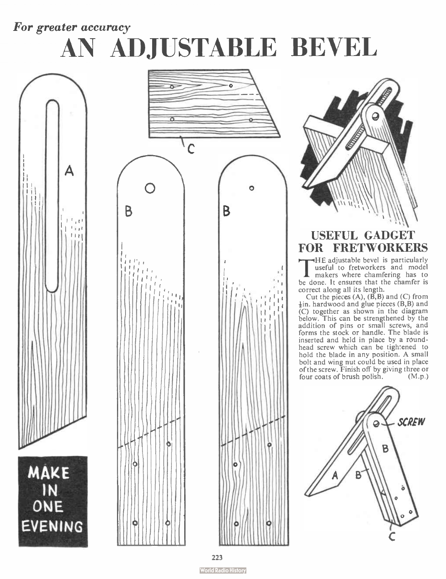### For greater accuracy

# AN ADJUSTABLE BEVEL





 $, \ldots$ 



### USEFUL GADGET FOR FRETWORKERS

 $\prod_{\mathfrak{m}}$ HE adjustable bevel is particularly useful to fretworkers and model makers where chamfering has to be done. It ensures that the chamfer is

correct along all its length.<br>Cut the pieces (A), (B,B) and (C) from<br> $\frac{1}{6}$ in. hardwood and glue pieces (B,B) and (C) together as shown in the diagram below. This can be strengthened by the addition of pins or small screws, and forms the stock or handle. The blade is inserted and held in place by a roundhead screw which can be tightened to hold the blade in any position. A small bolt and wing nut could be used in place of the screw. Finish off by giving three or four coats of brush polish. (M.p.)